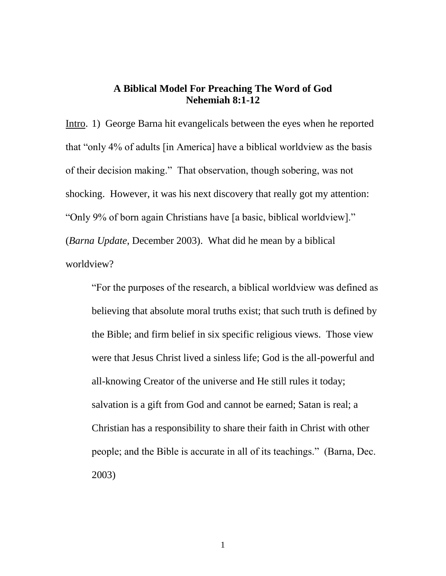## **A Biblical Model For Preaching The Word of God Nehemiah 8:1-12**

Intro. 1) George Barna hit evangelicals between the eyes when he reported that "only 4% of adults [in America] have a biblical worldview as the basis of their decision making." That observation, though sobering, was not shocking. However, it was his next discovery that really got my attention: "Only 9% of born again Christians have [a basic, biblical worldview]." (*Barna Update*, December 2003). What did he mean by a biblical worldview?

"For the purposes of the research, a biblical worldview was defined as believing that absolute moral truths exist; that such truth is defined by the Bible; and firm belief in six specific religious views. Those view were that Jesus Christ lived a sinless life; God is the all-powerful and all-knowing Creator of the universe and He still rules it today; salvation is a gift from God and cannot be earned; Satan is real; a Christian has a responsibility to share their faith in Christ with other people; and the Bible is accurate in all of its teachings." (Barna, Dec. 2003)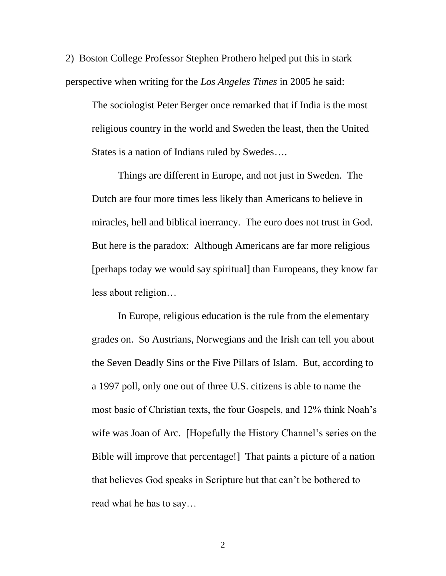2) Boston College Professor Stephen Prothero helped put this in stark perspective when writing for the *Los Angeles Times* in 2005 he said:

The sociologist Peter Berger once remarked that if India is the most religious country in the world and Sweden the least, then the United States is a nation of Indians ruled by Swedes….

Things are different in Europe, and not just in Sweden. The Dutch are four more times less likely than Americans to believe in miracles, hell and biblical inerrancy. The euro does not trust in God. But here is the paradox: Although Americans are far more religious [perhaps today we would say spiritual] than Europeans, they know far less about religion…

In Europe, religious education is the rule from the elementary grades on. So Austrians, Norwegians and the Irish can tell you about the Seven Deadly Sins or the Five Pillars of Islam. But, according to a 1997 poll, only one out of three U.S. citizens is able to name the most basic of Christian texts, the four Gospels, and 12% think Noah's wife was Joan of Arc. [Hopefully the History Channel's series on the Bible will improve that percentage!] That paints a picture of a nation that believes God speaks in Scripture but that can't be bothered to read what he has to say…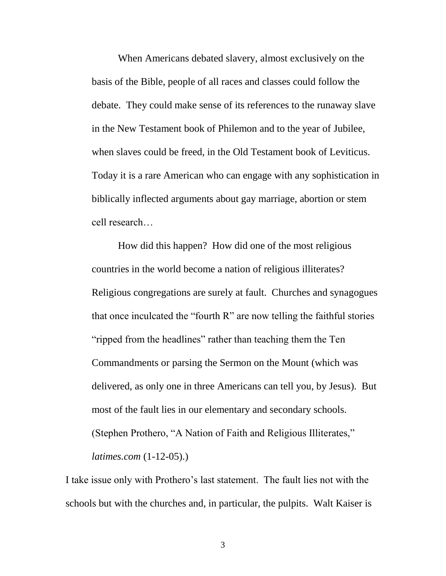When Americans debated slavery, almost exclusively on the basis of the Bible, people of all races and classes could follow the debate. They could make sense of its references to the runaway slave in the New Testament book of Philemon and to the year of Jubilee, when slaves could be freed, in the Old Testament book of Leviticus. Today it is a rare American who can engage with any sophistication in biblically inflected arguments about gay marriage, abortion or stem cell research…

How did this happen? How did one of the most religious countries in the world become a nation of religious illiterates? Religious congregations are surely at fault. Churches and synagogues that once inculcated the "fourth R" are now telling the faithful stories "ripped from the headlines" rather than teaching them the Ten Commandments or parsing the Sermon on the Mount (which was delivered, as only one in three Americans can tell you, by Jesus). But most of the fault lies in our elementary and secondary schools. (Stephen Prothero, "A Nation of Faith and Religious Illiterates," *latimes.com* (1-12-05).)

I take issue only with Prothero's last statement. The fault lies not with the schools but with the churches and, in particular, the pulpits. Walt Kaiser is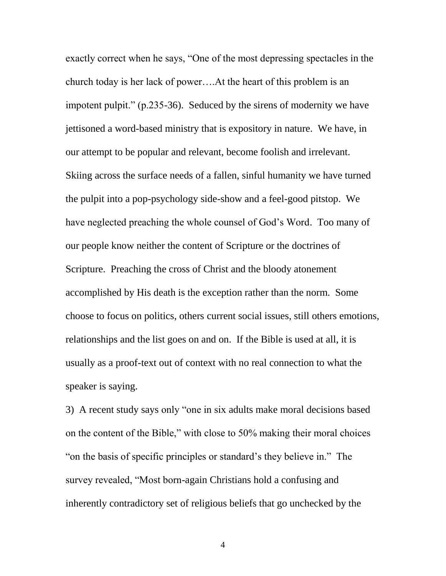exactly correct when he says, "One of the most depressing spectacles in the church today is her lack of power….At the heart of this problem is an impotent pulpit." (p.235-36). Seduced by the sirens of modernity we have jettisoned a word-based ministry that is expository in nature. We have, in our attempt to be popular and relevant, become foolish and irrelevant. Skiing across the surface needs of a fallen, sinful humanity we have turned the pulpit into a pop-psychology side-show and a feel-good pitstop. We have neglected preaching the whole counsel of God's Word. Too many of our people know neither the content of Scripture or the doctrines of Scripture. Preaching the cross of Christ and the bloody atonement accomplished by His death is the exception rather than the norm. Some choose to focus on politics, others current social issues, still others emotions, relationships and the list goes on and on. If the Bible is used at all, it is usually as a proof-text out of context with no real connection to what the speaker is saying.

3) A recent study says only "one in six adults make moral decisions based on the content of the Bible," with close to 50% making their moral choices "on the basis of specific principles or standard's they believe in." The survey revealed, "Most born-again Christians hold a confusing and inherently contradictory set of religious beliefs that go unchecked by the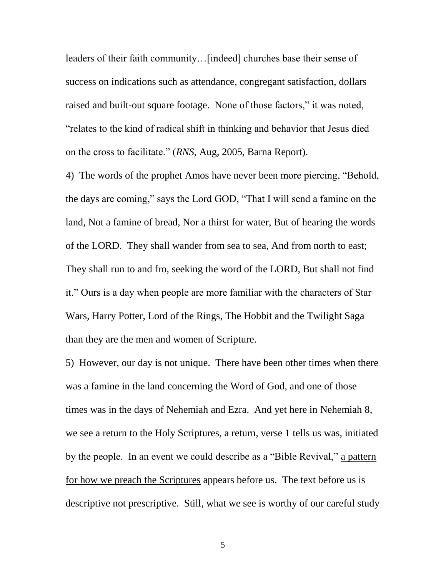leaders of their faith community…[indeed] churches base their sense of success on indications such as attendance, congregant satisfaction, dollars raised and built-out square footage. None of those factors," it was noted, "relates to the kind of radical shift in thinking and behavior that Jesus died on the cross to facilitate." (*RNS*, Aug, 2005, Barna Report).

4) The words of the prophet Amos have never been more piercing, "Behold, the days are coming," says the Lord GOD, "That I will send a famine on the land, Not a famine of bread, Nor a thirst for water, But of hearing the words of the LORD. They shall wander from sea to sea, And from north to east; They shall run to and fro, seeking the word of the LORD, But shall not find it." Ours is a day when people are more familiar with the characters of Star Wars, Harry Potter, Lord of the Rings, The Hobbit and the Twilight Saga than they are the men and women of Scripture.

5) However, our day is not unique. There have been other times when there was a famine in the land concerning the Word of God, and one of those times was in the days of Nehemiah and Ezra. And yet here in Nehemiah 8, we see a return to the Holy Scriptures, a return, verse 1 tells us was, initiated by the people. In an event we could describe as a "Bible Revival," a pattern for how we preach the Scriptures appears before us. The text before us is descriptive not prescriptive. Still, what we see is worthy of our careful study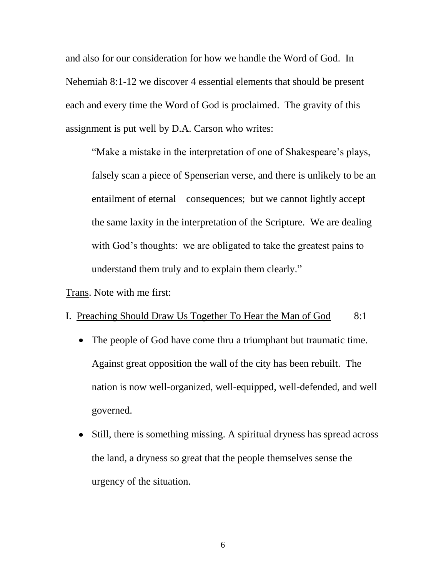and also for our consideration for how we handle the Word of God. In Nehemiah 8:1-12 we discover 4 essential elements that should be present each and every time the Word of God is proclaimed. The gravity of this assignment is put well by D.A. Carson who writes:

"Make a mistake in the interpretation of one of Shakespeare's plays, falsely scan a piece of Spenserian verse, and there is unlikely to be an entailment of eternal consequences; but we cannot lightly accept the same laxity in the interpretation of the Scripture. We are dealing with God's thoughts: we are obligated to take the greatest pains to understand them truly and to explain them clearly."

Trans. Note with me first:

## I. Preaching Should Draw Us Together To Hear the Man of God 8:1

- The people of God have come thru a triumphant but traumatic time.  $\bullet$ Against great opposition the wall of the city has been rebuilt. The nation is now well-organized, well-equipped, well-defended, and well governed.
- Still, there is something missing. A spiritual dryness has spread across the land, a dryness so great that the people themselves sense the urgency of the situation.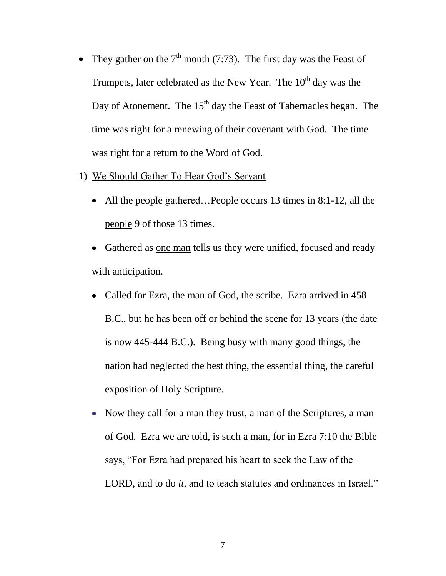- They gather on the  $7<sup>th</sup>$  month (7:73). The first day was the Feast of  $\bullet$ Trumpets, later celebrated as the New Year. The  $10<sup>th</sup>$  day was the Day of Atonement. The  $15<sup>th</sup>$  day the Feast of Tabernacles began. The time was right for a renewing of their covenant with God. The time was right for a return to the Word of God.
- 1) We Should Gather To Hear God's Servant
	- All the people gathered…People occurs 13 times in 8:1-12, all the people 9 of those 13 times.
	- Gathered as one man tells us they were unified, focused and ready with anticipation.
	- Called for Ezra, the man of God, the scribe. Ezra arrived in 458 B.C., but he has been off or behind the scene for 13 years (the date is now 445-444 B.C.). Being busy with many good things, the nation had neglected the best thing, the essential thing, the careful exposition of Holy Scripture.
	- Now they call for a man they trust, a man of the Scriptures, a man of God. Ezra we are told, is such a man, for in Ezra 7:10 the Bible says, "For Ezra had prepared his heart to seek the Law of the LORD, and to do *it,* and to teach statutes and ordinances in Israel."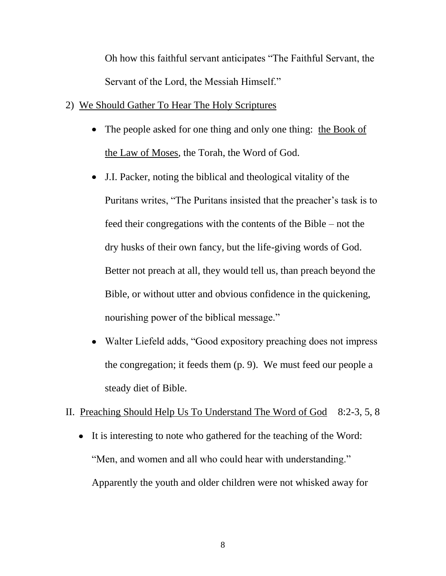Oh how this faithful servant anticipates "The Faithful Servant, the Servant of the Lord, the Messiah Himself."

# 2) We Should Gather To Hear The Holy Scriptures

- The people asked for one thing and only one thing: the Book of the Law of Moses, the Torah, the Word of God.
- J.I. Packer, noting the biblical and theological vitality of the Puritans writes, "The Puritans insisted that the preacher's task is to feed their congregations with the contents of the Bible – not the dry husks of their own fancy, but the life-giving words of God. Better not preach at all, they would tell us, than preach beyond the Bible, or without utter and obvious confidence in the quickening, nourishing power of the biblical message."
- Walter Liefeld adds, "Good expository preaching does not impress the congregation; it feeds them (p. 9). We must feed our people a steady diet of Bible.

# II. Preaching Should Help Us To Understand The Word of God 8:2-3, 5, 8

It is interesting to note who gathered for the teaching of the Word: "Men, and women and all who could hear with understanding." Apparently the youth and older children were not whisked away for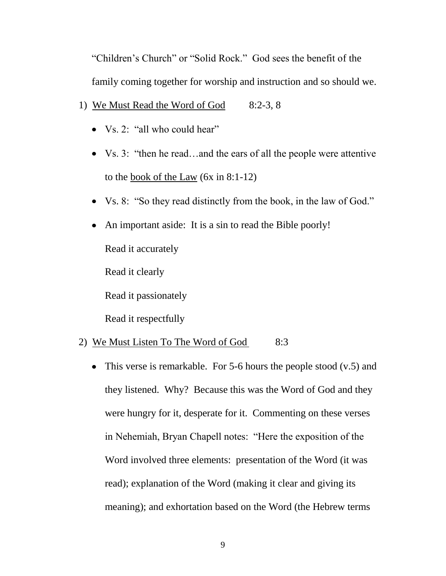"Children's Church" or "Solid Rock." God sees the benefit of the family coming together for worship and instruction and so should we.

- 1) We Must Read the Word of God 8:2-3, 8
	- Vs. 2: "all who could hear"
	- Vs. 3: "then he read...and the ears of all the people were attentive to the book of the Law (6x in 8:1-12)
	- Vs. 8: "So they read distinctly from the book, in the law of God."  $\bullet$
	- An important aside: It is a sin to read the Bible poorly! Read it accurately Read it clearly Read it passionately

Read it respectfully

# 2) We Must Listen To The Word of God 8:3

• This verse is remarkable. For 5-6 hours the people stood  $(v.5)$  and they listened. Why? Because this was the Word of God and they were hungry for it, desperate for it. Commenting on these verses in Nehemiah, Bryan Chapell notes: "Here the exposition of the Word involved three elements: presentation of the Word (it was read); explanation of the Word (making it clear and giving its meaning); and exhortation based on the Word (the Hebrew terms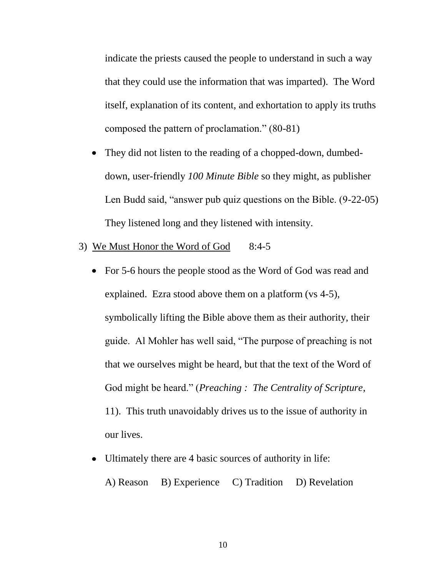indicate the priests caused the people to understand in such a way that they could use the information that was imparted). The Word itself, explanation of its content, and exhortation to apply its truths composed the pattern of proclamation." (80-81)

- They did not listen to the reading of a chopped-down, dumbed- $\bullet$ down, user-friendly *100 Minute Bible* so they might, as publisher Len Budd said, "answer pub quiz questions on the Bible. (9-22-05) They listened long and they listened with intensity.
- 3) We Must Honor the Word of God 8:4-5
	- For 5-6 hours the people stood as the Word of God was read and explained. Ezra stood above them on a platform (vs 4-5), symbolically lifting the Bible above them as their authority, their guide. Al Mohler has well said, "The purpose of preaching is not that we ourselves might be heard, but that the text of the Word of God might be heard." (*Preaching : The Centrality of Scripture*, 11). This truth unavoidably drives us to the issue of authority in our lives.
	- Ultimately there are 4 basic sources of authority in life: A) Reason B) Experience C) Tradition D) Revelation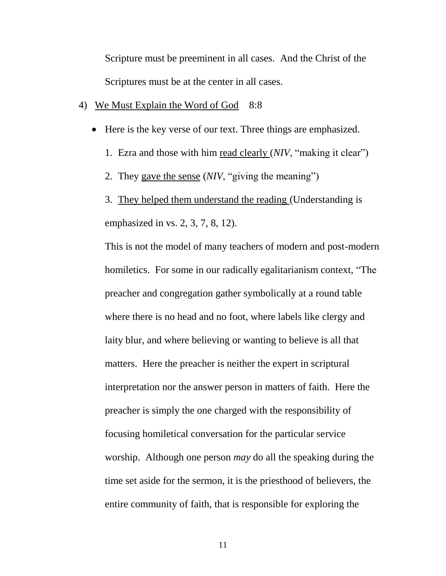Scripture must be preeminent in all cases. And the Christ of the Scriptures must be at the center in all cases.

- 4) We Must Explain the Word of God 8:8
	- Here is the key verse of our text. Three things are emphasized.
		- 1. Ezra and those with him read clearly (*NIV*, "making it clear")
		- 2. They gave the sense (*NIV*, "giving the meaning")
		- 3. They helped them understand the reading (Understanding is emphasized in vs. 2, 3, 7, 8, 12).

This is not the model of many teachers of modern and post-modern homiletics. For some in our radically egalitarianism context, "The preacher and congregation gather symbolically at a round table where there is no head and no foot, where labels like clergy and laity blur, and where believing or wanting to believe is all that matters. Here the preacher is neither the expert in scriptural interpretation nor the answer person in matters of faith. Here the preacher is simply the one charged with the responsibility of focusing homiletical conversation for the particular service worship. Although one person *may* do all the speaking during the time set aside for the sermon, it is the priesthood of believers, the entire community of faith, that is responsible for exploring the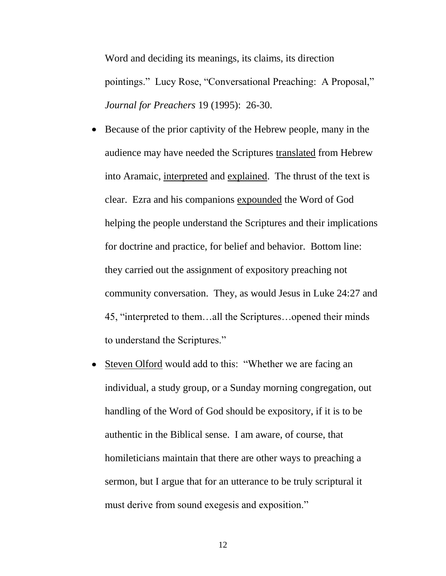Word and deciding its meanings, its claims, its direction pointings." Lucy Rose, "Conversational Preaching: A Proposal," *Journal for Preachers* 19 (1995): 26-30.

- Because of the prior captivity of the Hebrew people, many in the audience may have needed the Scriptures translated from Hebrew into Aramaic, interpreted and explained. The thrust of the text is clear. Ezra and his companions expounded the Word of God helping the people understand the Scriptures and their implications for doctrine and practice, for belief and behavior. Bottom line: they carried out the assignment of expository preaching not community conversation. They, as would Jesus in Luke 24:27 and 45, "interpreted to them…all the Scriptures…opened their minds to understand the Scriptures."
- Steven Olford would add to this: "Whether we are facing an individual, a study group, or a Sunday morning congregation, out handling of the Word of God should be expository, if it is to be authentic in the Biblical sense. I am aware, of course, that homileticians maintain that there are other ways to preaching a sermon, but I argue that for an utterance to be truly scriptural it must derive from sound exegesis and exposition."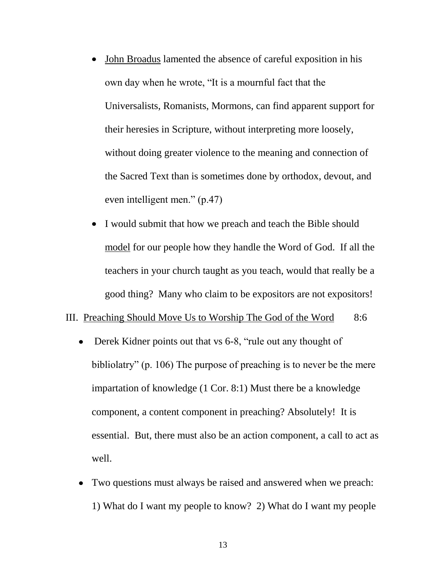- John Broadus lamented the absence of careful exposition in his own day when he wrote, "It is a mournful fact that the Universalists, Romanists, Mormons, can find apparent support for their heresies in Scripture, without interpreting more loosely, without doing greater violence to the meaning and connection of the Sacred Text than is sometimes done by orthodox, devout, and even intelligent men." (p.47)
- I would submit that how we preach and teach the Bible should model for our people how they handle the Word of God. If all the teachers in your church taught as you teach, would that really be a good thing? Many who claim to be expositors are not expositors!

### III. Preaching Should Move Us to Worship The God of the Word 8:6

- Derek Kidner points out that vs 6-8, "rule out any thought of  $\bullet$ bibliolatry" (p. 106) The purpose of preaching is to never be the mere impartation of knowledge (1 Cor. 8:1) Must there be a knowledge component, a content component in preaching? Absolutely! It is essential. But, there must also be an action component, a call to act as well.
- Two questions must always be raised and answered when we preach: 1) What do I want my people to know? 2) What do I want my people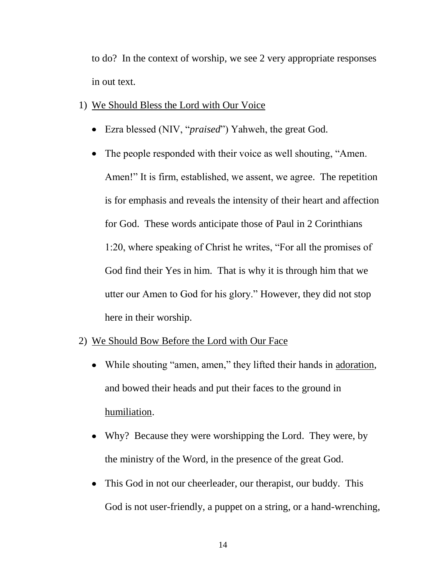to do? In the context of worship, we see 2 very appropriate responses in out text.

- 1) We Should Bless the Lord with Our Voice
	- Ezra blessed (NIV, "*praised*") Yahweh, the great God.
	- The people responded with their voice as well shouting, "Amen. Amen!" It is firm, established, we assent, we agree. The repetition is for emphasis and reveals the intensity of their heart and affection for God. These words anticipate those of Paul in 2 Corinthians 1:20, where speaking of Christ he writes, "For all the promises of God find their Yes in him. That is why it is through him that we utter our Amen to God for his glory." However, they did not stop here in their worship.
- 2) We Should Bow Before the Lord with Our Face
	- While shouting "amen, amen," they lifted their hands in adoration, and bowed their heads and put their faces to the ground in humiliation.
	- Why? Because they were worshipping the Lord. They were, by the ministry of the Word, in the presence of the great God.
	- This God in not our cheerleader, our therapist, our buddy. This God is not user-friendly, a puppet on a string, or a hand-wrenching,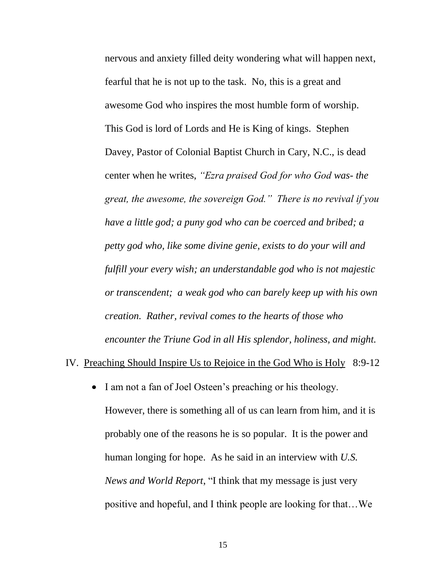nervous and anxiety filled deity wondering what will happen next, fearful that he is not up to the task. No, this is a great and awesome God who inspires the most humble form of worship. This God is lord of Lords and He is King of kings. Stephen Davey, Pastor of Colonial Baptist Church in Cary, N.C., is dead center when he writes, *"Ezra praised God for who God was- the great, the awesome, the sovereign God." There is no revival if you have a little god; a puny god who can be coerced and bribed; a petty god who, like some divine genie, exists to do your will and fulfill your every wish; an understandable god who is not majestic or transcendent; a weak god who can barely keep up with his own creation. Rather, revival comes to the hearts of those who encounter the Triune God in all His splendor, holiness, and might.*

#### IV. Preaching Should Inspire Us to Rejoice in the God Who is Holy 8:9-12

 $\bullet$ I am not a fan of Joel Osteen's preaching or his theology. However, there is something all of us can learn from him, and it is probably one of the reasons he is so popular. It is the power and human longing for hope. As he said in an interview with *U.S. News and World Report*, "I think that my message is just very positive and hopeful, and I think people are looking for that…We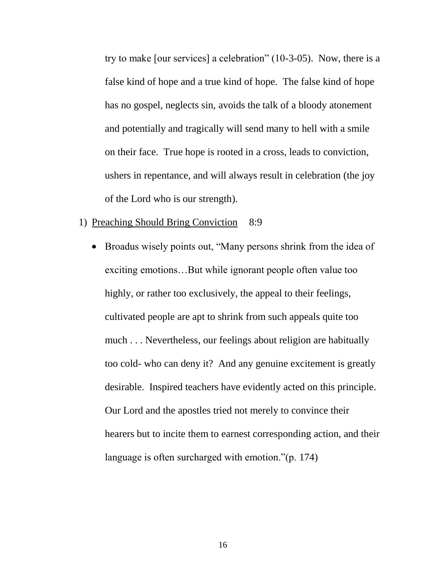try to make [our services] a celebration" (10-3-05). Now, there is a false kind of hope and a true kind of hope. The false kind of hope has no gospel, neglects sin, avoids the talk of a bloody atonement and potentially and tragically will send many to hell with a smile on their face. True hope is rooted in a cross, leads to conviction, ushers in repentance, and will always result in celebration (the joy of the Lord who is our strength).

- 1) Preaching Should Bring Conviction 8:9
	- Broadus wisely points out, "Many persons shrink from the idea of exciting emotions…But while ignorant people often value too highly, or rather too exclusively, the appeal to their feelings, cultivated people are apt to shrink from such appeals quite too much . . . Nevertheless, our feelings about religion are habitually too cold- who can deny it? And any genuine excitement is greatly desirable. Inspired teachers have evidently acted on this principle. Our Lord and the apostles tried not merely to convince their hearers but to incite them to earnest corresponding action, and their language is often surcharged with emotion."(p. 174)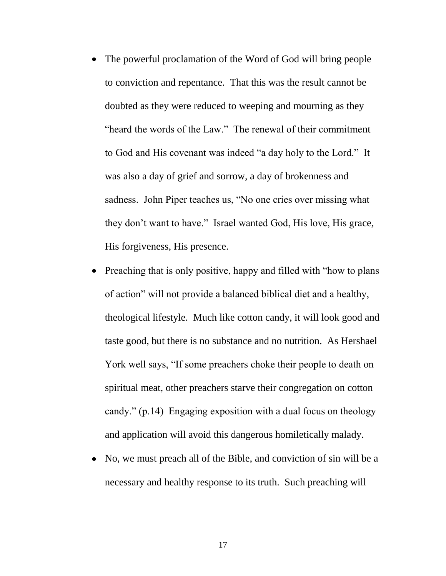- The powerful proclamation of the Word of God will bring people to conviction and repentance. That this was the result cannot be doubted as they were reduced to weeping and mourning as they "heard the words of the Law." The renewal of their commitment to God and His covenant was indeed "a day holy to the Lord." It was also a day of grief and sorrow, a day of brokenness and sadness. John Piper teaches us, "No one cries over missing what they don't want to have." Israel wanted God, His love, His grace, His forgiveness, His presence.
- Preaching that is only positive, happy and filled with "how to plans" of action" will not provide a balanced biblical diet and a healthy, theological lifestyle. Much like cotton candy, it will look good and taste good, but there is no substance and no nutrition. As Hershael York well says, "If some preachers choke their people to death on spiritual meat, other preachers starve their congregation on cotton candy." (p.14) Engaging exposition with a dual focus on theology and application will avoid this dangerous homiletically malady.
- No, we must preach all of the Bible, and conviction of sin will be a necessary and healthy response to its truth. Such preaching will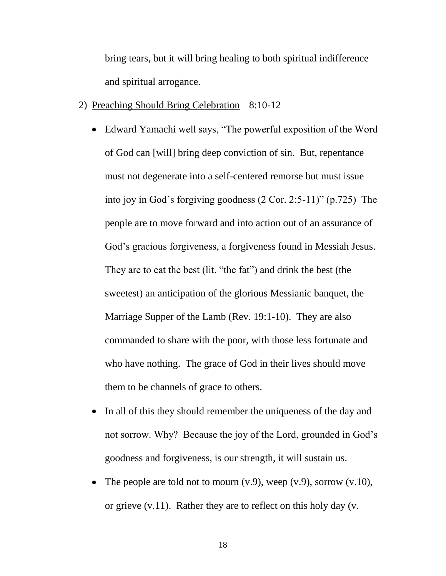bring tears, but it will bring healing to both spiritual indifference and spiritual arrogance.

- 2) Preaching Should Bring Celebration 8:10-12
	- Edward Yamachi well says, "The powerful exposition of the Word of God can [will] bring deep conviction of sin. But, repentance must not degenerate into a self-centered remorse but must issue into joy in God's forgiving goodness (2 Cor. 2:5-11)" (p.725) The people are to move forward and into action out of an assurance of God's gracious forgiveness, a forgiveness found in Messiah Jesus. They are to eat the best (lit. "the fat") and drink the best (the sweetest) an anticipation of the glorious Messianic banquet, the Marriage Supper of the Lamb (Rev. 19:1-10). They are also commanded to share with the poor, with those less fortunate and who have nothing. The grace of God in their lives should move them to be channels of grace to others.
	- In all of this they should remember the uniqueness of the day and not sorrow. Why? Because the joy of the Lord, grounded in God's goodness and forgiveness, is our strength, it will sustain us.
	- The people are told not to mourn  $(v.9)$ , weep  $(v.9)$ , sorrow  $(v.10)$ , or grieve (v.11). Rather they are to reflect on this holy day (v.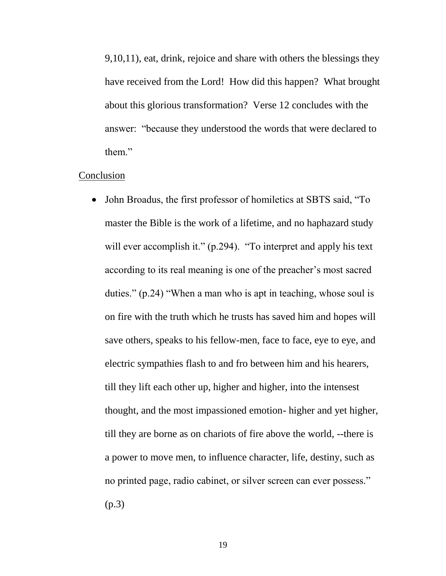9,10,11), eat, drink, rejoice and share with others the blessings they have received from the Lord! How did this happen? What brought about this glorious transformation? Verse 12 concludes with the answer: "because they understood the words that were declared to them."

## Conclusion

• John Broadus, the first professor of homiletics at SBTS said, "To master the Bible is the work of a lifetime, and no haphazard study will ever accomplish it." (p.294). "To interpret and apply his text according to its real meaning is one of the preacher's most sacred duties." (p.24) "When a man who is apt in teaching, whose soul is on fire with the truth which he trusts has saved him and hopes will save others, speaks to his fellow-men, face to face, eye to eye, and electric sympathies flash to and fro between him and his hearers, till they lift each other up, higher and higher, into the intensest thought, and the most impassioned emotion- higher and yet higher, till they are borne as on chariots of fire above the world, --there is a power to move men, to influence character, life, destiny, such as no printed page, radio cabinet, or silver screen can ever possess." (p.3)